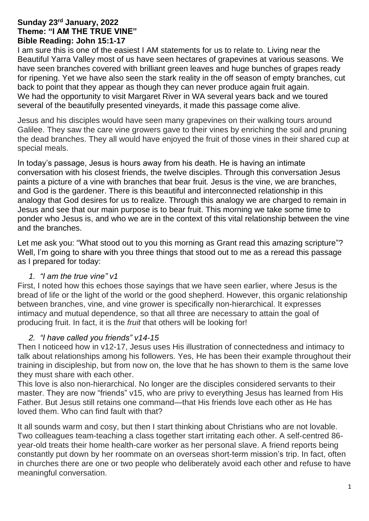## **Sunday 23rd January, 2022 Theme: "I AM THE TRUE VINE" Bible Reading: John 15:1-17**

I am sure this is one of the easiest I AM statements for us to relate to. Living near the Beautiful Yarra Valley most of us have seen hectares of grapevines at various seasons. We have seen branches covered with brilliant green leaves and huge bunches of grapes ready for ripening. Yet we have also seen the stark reality in the off season of empty branches, cut back to point that they appear as though they can never produce again fruit again. We had the opportunity to visit Margaret River in WA several years back and we toured several of the beautifully presented vineyards, it made this passage come alive.

Jesus and his disciples would have seen many grapevines on their walking tours around Galilee. They saw the care vine growers gave to their vines by enriching the soil and pruning the dead branches. They all would have enjoyed the fruit of those vines in their shared cup at special meals.

In today's passage, Jesus is hours away from his death. He is having an intimate conversation with his closest friends, the twelve disciples. Through this conversation Jesus paints a picture of a vine with branches that bear fruit. Jesus is the vine, we are branches, and God is the gardener. There is this beautiful and interconnected relationship in this analogy that God desires for us to realize. Through this analogy we are charged to remain in Jesus and see that our main purpose is to bear fruit. This morning we take some time to ponder who Jesus is, and who we are in the context of this vital relationship between the vine and the branches.

Let me ask you: "What stood out to you this morning as Grant read this amazing scripture"? Well, I'm going to share with you three things that stood out to me as a reread this passage as I prepared for today:

# *1. "I am the true vine" v1*

First, I noted how this echoes those sayings that we have seen earlier, where Jesus is the bread of life or the light of the world or the good shepherd. However, this organic relationship between branches, vine, and vine grower is specifically non-hierarchical. It expresses intimacy and mutual dependence, so that all three are necessary to attain the goal of producing fruit. In fact, it is the *fruit* that others will be looking for!

# *2. "I have called you friends" v14-15*

Then I noticeed how in v12-17, Jesus uses His illustration of connectedness and intimacy to talk about relationships among his followers. Yes, He has been their example throughout their training in discipleship, but from now on, the love that he has shown to them is the same love they must share with each other.

This love is also non-hierarchical. No longer are the disciples considered servants to their master. They are now "friends" v15, who are privy to everything Jesus has learned from His Father. But Jesus still retains one command—that His friends love each other as He has loved them. Who can find fault with that?

It all sounds warm and cosy, but then I start thinking about Christians who are not lovable. Two colleagues team-teaching a class together start irritating each other. A self-centred 86 year-old treats their home health-care worker as her personal slave. A friend reports being constantly put down by her roommate on an overseas short-term mission's trip. In fact, often in churches there are one or two people who deliberately avoid each other and refuse to have meaningful conversation.